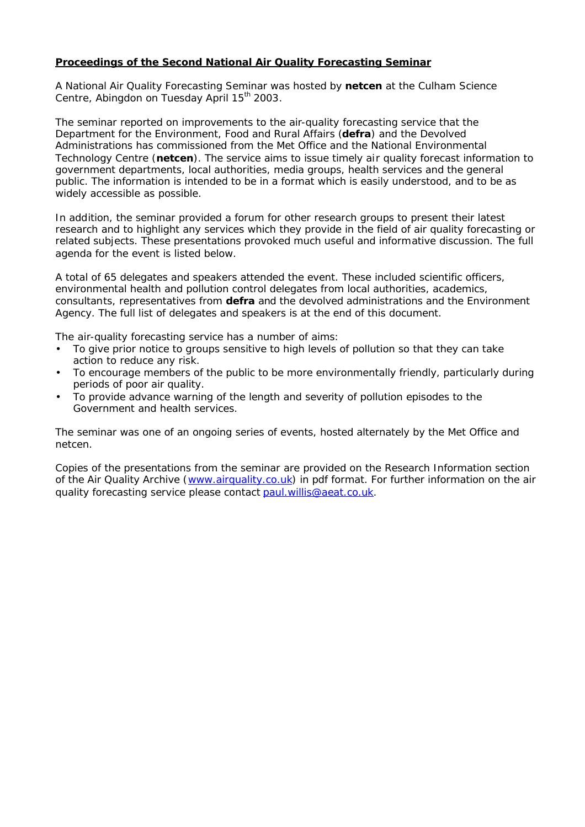## **Proceedings of the Second National Air Quality Forecasting Seminar**

A National Air Quality Forecasting Seminar was hosted by **netcen** at the Culham Science Centre, Abingdon on Tuesday April 15<sup>th</sup> 2003.

The seminar reported on improvements to the air-quality forecasting service that the Department for the Environment, Food and Rural Affairs (**defra**) and the Devolved Administrations has commissioned from the Met Office and the National Environmental Technology Centre (**netcen**). The service aims to issue timely air quality forecast information to government departments, local authorities, media groups, health services and the general public. The information is intended to be in a format which is easily understood, and to be as widely accessible as possible.

In addition, the seminar provided a forum for other research groups to present their latest research and to highlight any services which they provide in the field of air quality forecasting or related subjects. These presentations provoked much useful and informative discussion. The full agenda for the event is listed below.

A total of 65 delegates and speakers attended the event. These included scientific officers, environmental health and pollution control delegates from local authorities, academics, consultants, representatives from **defra** and the devolved administrations and the Environment Agency. The full list of delegates and speakers is at the end of this document.

The air-quality forecasting service has a number of aims:

- To give prior notice to groups sensitive to high levels of pollution so that they can take action to reduce any risk.
- To encourage members of the public to be more environmentally friendly, particularly during periods of poor air quality.
- To provide advance warning of the length and severity of pollution episodes to the Government and health services.

The seminar was one of an ongoing series of events, hosted alternately by the Met Office and netcen.

Copies of the presentations from the seminar are provided on the Research Information section of the Air Quality Archive (www.airquality.co.uk) in pdf format. For further information on the air quality forecasting service please contact paul.willis@aeat.co.uk.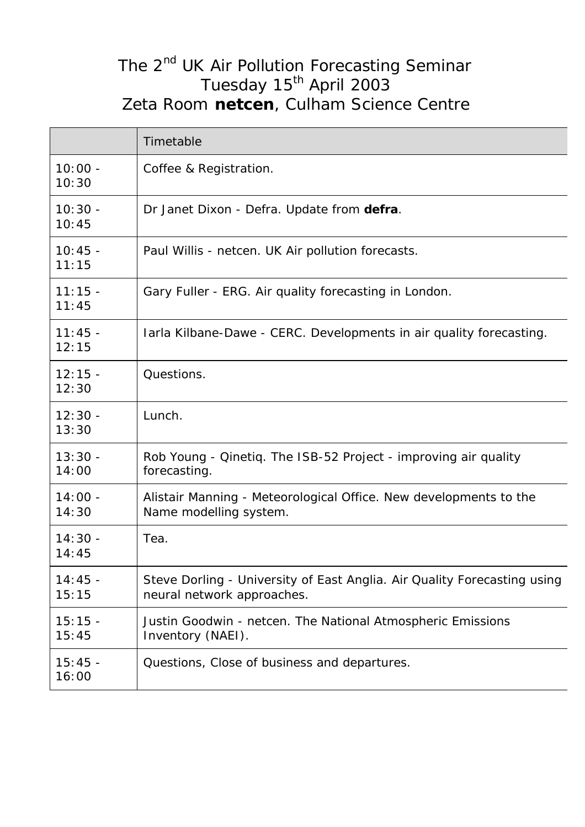## The 2<sup>nd</sup> UK Air Pollution Forecasting Seminar Tuesday 15<sup>th</sup> April 2003 Zeta Room **netcen**, Culham Science Centre

|                    | Timetable                                                                                              |  |
|--------------------|--------------------------------------------------------------------------------------------------------|--|
| $10:00 -$<br>10:30 | Coffee & Registration.                                                                                 |  |
| $10:30 -$<br>10:45 | Dr Janet Dixon - Defra. Update from defra.                                                             |  |
| $10:45 -$<br>11:15 | Paul Willis - netcen. UK Air pollution forecasts.                                                      |  |
| $11:15 -$<br>11:45 | Gary Fuller - ERG. Air quality forecasting in London.                                                  |  |
| $11:45 -$<br>12:15 | Iarla Kilbane-Dawe - CERC. Developments in air quality forecasting.                                    |  |
| $12:15 -$<br>12:30 | Questions.                                                                                             |  |
| $12:30 -$<br>13:30 | Lunch.                                                                                                 |  |
| $13:30 -$<br>14:00 | Rob Young - Qinetiq. The ISB-52 Project - improving air quality<br>forecasting.                        |  |
| $14:00 -$<br>14:30 | Alistair Manning - Meteorological Office. New developments to the<br>Name modelling system.            |  |
| $14:30 -$<br>14:45 | Tea.                                                                                                   |  |
| $14:45 -$<br>15:15 | Steve Dorling - University of East Anglia. Air Quality Forecasting using<br>neural network approaches. |  |
| $15:15 -$<br>15:45 | Justin Goodwin - netcen. The National Atmospheric Emissions<br>Inventory (NAEI).                       |  |
| $15:45 -$<br>16:00 | Questions, Close of business and departures.                                                           |  |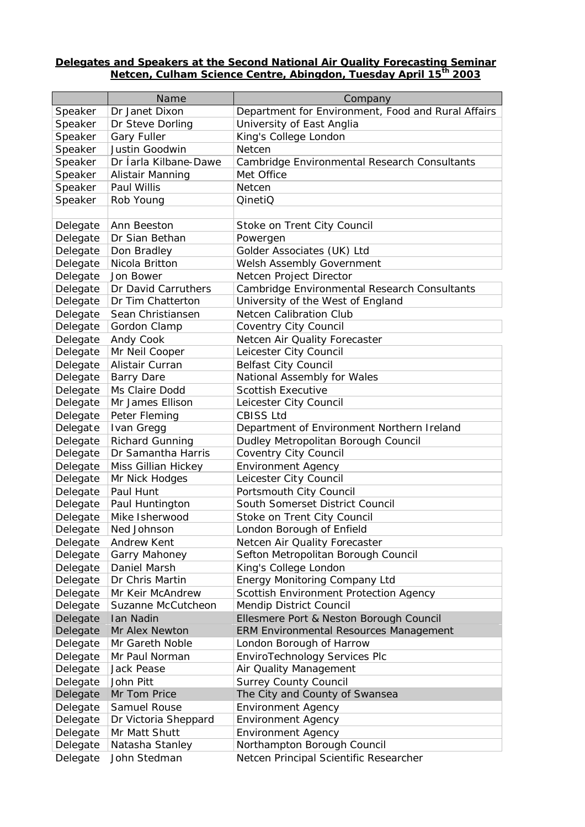## **Delegates and Speakers at the Second National Air Quality Forecasting Seminar Netcen, Culham Science Centre, Abingdon, Tuesday April 15th 2003**

|          | Name                   | Company                                            |
|----------|------------------------|----------------------------------------------------|
| Speaker  | Dr Janet Dixon         | Department for Environment, Food and Rural Affairs |
| Speaker  | Dr Steve Dorling       | University of East Anglia                          |
| Speaker  | <b>Gary Fuller</b>     | King's College London                              |
| Speaker  | Justin Goodwin         | Netcen                                             |
| Speaker  | Dr Íarla Kilbane-Dawe  | Cambridge Environmental Research Consultants       |
| Speaker  | Alistair Manning       | Met Office                                         |
| Speaker  | Paul Willis            | Netcen                                             |
| Speaker  | Rob Young              | QinetiQ                                            |
|          |                        |                                                    |
| Delegate | Ann Beeston            | Stoke on Trent City Council                        |
| Delegate | Dr Sian Bethan         | Powergen                                           |
| Delegate | Don Bradley            | Golder Associates (UK) Ltd                         |
| Delegate | Nicola Britton         | Welsh Assembly Government                          |
| Delegate | Jon Bower              | Netcen Project Director                            |
| Delegate | Dr David Carruthers    | Cambridge Environmental Research Consultants       |
| Delegate | Dr Tim Chatterton      | University of the West of England                  |
| Delegate | Sean Christiansen      | <b>Netcen Calibration Club</b>                     |
| Delegate | Gordon Clamp           | Coventry City Council                              |
| Delegate | Andy Cook              | Netcen Air Quality Forecaster                      |
| Delegate | Mr Neil Cooper         | Leicester City Council                             |
| Delegate | Alistair Curran        | <b>Belfast City Council</b>                        |
| Delegate | <b>Barry Dare</b>      | National Assembly for Wales                        |
| Delegate | Ms Claire Dodd         | <b>Scottish Executive</b>                          |
| Delegate | Mr James Ellison       | Leicester City Council                             |
| Delegate | Peter Fleming          | <b>CBISS Ltd</b>                                   |
| Delegate | Ivan Gregg             | Department of Environment Northern Ireland         |
| Delegate | <b>Richard Gunning</b> | Dudley Metropolitan Borough Council                |
| Delegate | Dr Samantha Harris     | Coventry City Council                              |
| Delegate | Miss Gillian Hickey    | <b>Environment Agency</b>                          |
| Delegate | Mr Nick Hodges         | Leicester City Council                             |
| Delegate | Paul Hunt              | Portsmouth City Council                            |
| Delegate | Paul Huntington        | South Somerset District Council                    |
| Delegate | Mike Isherwood         | Stoke on Trent City Council                        |
| Delegate | Ned Johnson            | London Borough of Enfield                          |
| Delegate | <b>Andrew Kent</b>     | Netcen Air Quality Forecaster                      |
| Delegate | Garry Mahoney          | Sefton Metropolitan Borough Council                |
| Delegate | Daniel Marsh           | King's College London                              |
| Delegate | Dr Chris Martin        | <b>Energy Monitoring Company Ltd</b>               |
| Delegate | Mr Keir McAndrew       | Scottish Environment Protection Agency             |
| Delegate | Suzanne McCutcheon     | Mendip District Council                            |
| Delegate | <b>Ian Nadin</b>       | Ellesmere Port & Neston Borough Council            |
| Delegate | Mr Alex Newton         | <b>ERM Environmental Resources Management</b>      |
| Delegate | Mr Gareth Noble        | London Borough of Harrow                           |
| Delegate | Mr Paul Norman         | EnviroTechnology Services Plc                      |
| Delegate | Jack Pease             | Air Quality Management                             |
| Delegate | John Pitt              | <b>Surrey County Council</b>                       |
| Delegate | Mr Tom Price           | The City and County of Swansea                     |
| Delegate | Samuel Rouse           | <b>Environment Agency</b>                          |
| Delegate | Dr Victoria Sheppard   | <b>Environment Agency</b>                          |
| Delegate | Mr Matt Shutt          | <b>Environment Agency</b>                          |
| Delegate | Natasha Stanley        | Northampton Borough Council                        |
| Delegate | John Stedman           | Netcen Principal Scientific Researcher             |